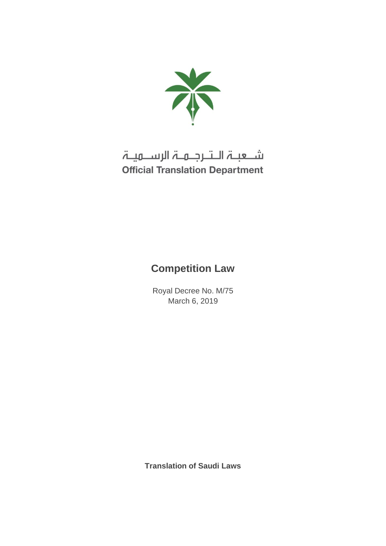

# شـعبـۃ الـتـرجـمـۃ الرســمیـۃ **Official Translation Department**

## **Competition Law**

Royal Decree No. M/75 March 6, 2019

**Translation of Saudi Laws**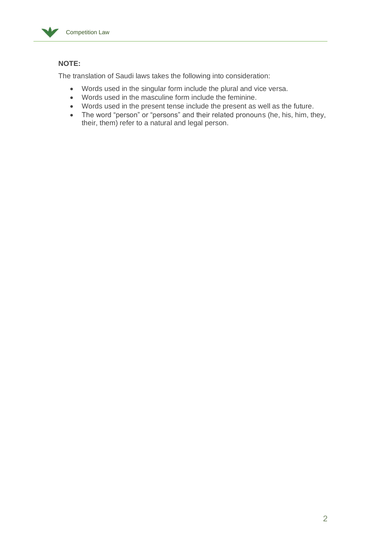

## **NOTE:**

The translation of Saudi laws takes the following into consideration:

- Words used in the singular form include the plural and vice versa.
- Words used in the masculine form include the feminine.
- Words used in the present tense include the present as well as the future.
- The word "person" or "persons" and their related pronouns (he, his, him, they, their, them) refer to a natural and legal person.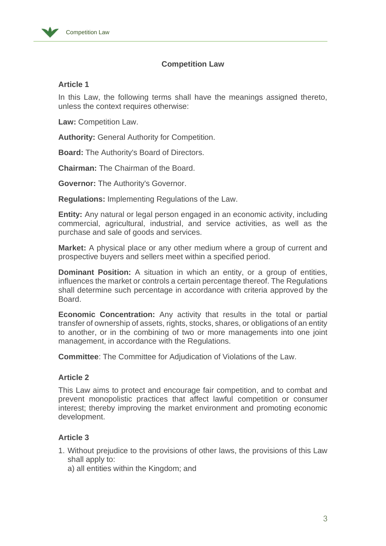

## **Competition Law**

## **Article 1**

In this Law, the following terms shall have the meanings assigned thereto, unless the context requires otherwise:

**Law:** Competition Law.

**Authority:** General Authority for Competition.

**Board:** The Authority's Board of Directors.

**Chairman:** The Chairman of the Board.

**Governor:** The Authority's Governor.

**Regulations:** Implementing Regulations of the Law.

**Entity:** Any natural or legal person engaged in an economic activity, including commercial, agricultural, industrial, and service activities, as well as the purchase and sale of goods and services.

**Market:** A physical place or any other medium where a group of current and prospective buyers and sellers meet within a specified period.

**Dominant Position:** A situation in which an entity, or a group of entities, influences the market or controls a certain percentage thereof. The Regulations shall determine such percentage in accordance with criteria approved by the Board.

**Economic Concentration:** Any activity that results in the total or partial transfer of ownership of assets, rights, stocks, shares, or obligations of an entity to another, or in the combining of two or more managements into one joint management, in accordance with the Regulations.

**Committee**: The Committee for Adjudication of Violations of the Law.

## **Article 2**

This Law aims to protect and encourage fair competition, and to combat and prevent monopolistic practices that affect lawful competition or consumer interest; thereby improving the market environment and promoting economic development.

## **Article 3**

- 1. Without prejudice to the provisions of other laws, the provisions of this Law shall apply to:
	- a) all entities within the Kingdom; and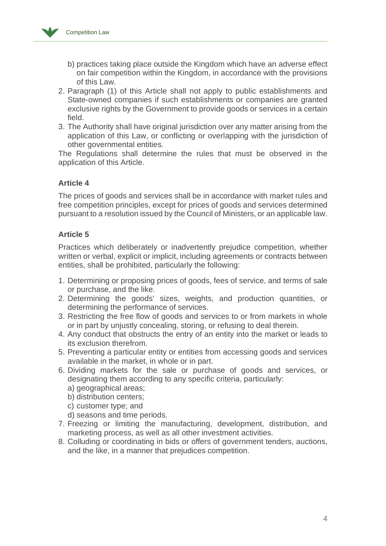

- b) practices taking place outside the Kingdom which have an adverse effect on fair competition within the Kingdom, in accordance with the provisions of this Law.
- 2. Paragraph (1) of this Article shall not apply to public establishments and State-owned companies if such establishments or companies are granted exclusive rights by the Government to provide goods or services in a certain field.
- 3. The Authority shall have original jurisdiction over any matter arising from the application of this Law, or conflicting or overlapping with the jurisdiction of other governmental entities.

The Regulations shall determine the rules that must be observed in the application of this Article.

## **Article 4**

The prices of goods and services shall be in accordance with market rules and free competition principles, except for prices of goods and services determined pursuant to a resolution issued by the Council of Ministers, or an applicable law.

## **Article 5**

Practices which deliberately or inadvertently prejudice competition, whether written or verbal, explicit or implicit, including agreements or contracts between entities, shall be prohibited, particularly the following:

- 1. Determining or proposing prices of goods, fees of service, and terms of sale or purchase, and the like.
- 2. Determining the goods' sizes, weights, and production quantities, or determining the performance of services.
- 3. Restricting the free flow of goods and services to or from markets in whole or in part by unjustly concealing, storing, or refusing to deal therein.
- 4. Any conduct that obstructs the entry of an entity into the market or leads to its exclusion therefrom.
- 5. Preventing a particular entity or entities from accessing goods and services available in the market, in whole or in part.
- 6. Dividing markets for the sale or purchase of goods and services, or designating them according to any specific criteria, particularly:
	- a) geographical areas;
	- b) distribution centers;
	- c) customer type; and
	- d) seasons and time periods.
- 7. Freezing or limiting the manufacturing, development, distribution, and marketing process, as well as all other investment activities.
- 8. Colluding or coordinating in bids or offers of government tenders, auctions, and the like, in a manner that prejudices competition.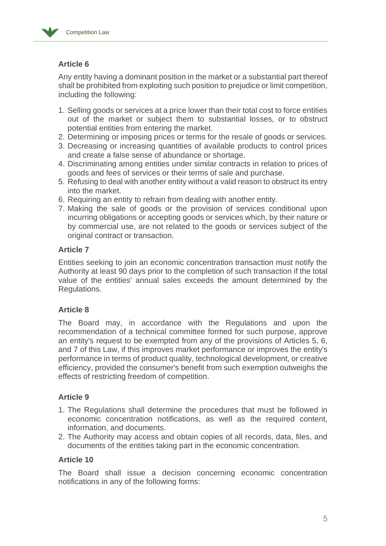

## **Article 6**

Any entity having a dominant position in the market or a substantial part thereof shall be prohibited from exploiting such position to prejudice or limit competition, including the following:

- 1. Selling goods or services at a price lower than their total cost to force entities out of the market or subject them to substantial losses, or to obstruct potential entities from entering the market.
- 2. Determining or imposing prices or terms for the resale of goods or services.
- 3. Decreasing or increasing quantities of available products to control prices and create a false sense of abundance or shortage.
- 4. Discriminating among entities under similar contracts in relation to prices of goods and fees of services or their terms of sale and purchase.
- 5. Refusing to deal with another entity without a valid reason to obstruct its entry into the market.
- 6. Requiring an entity to refrain from dealing with another entity.
- 7. Making the sale of goods or the provision of services conditional upon incurring obligations or accepting goods or services which, by their nature or by commercial use, are not related to the goods or services subject of the original contract or transaction.

## **Article 7**

Entities seeking to join an economic concentration transaction must notify the Authority at least 90 days prior to the completion of such transaction if the total value of the entities' annual sales exceeds the amount determined by the Regulations.

## **Article 8**

The Board may, in accordance with the Regulations and upon the recommendation of a technical committee formed for such purpose, approve an entity's request to be exempted from any of the provisions of Articles 5, 6, and 7 of this Law, if this improves market performance or improves the entity's performance in terms of product quality, technological development, or creative efficiency, provided the consumer's benefit from such exemption outweighs the effects of restricting freedom of competition.

## **Article 9**

- 1. The Regulations shall determine the procedures that must be followed in economic concentration notifications, as well as the required content, information, and documents.
- 2. The Authority may access and obtain copies of all records, data, files, and documents of the entities taking part in the economic concentration.

## **Article 10**

The Board shall issue a decision concerning economic concentration notifications in any of the following forms: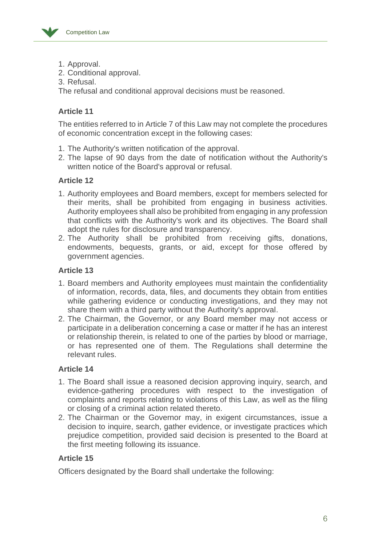

- 1. Approval.
- 2. Conditional approval.
- 3. Refusal.

The refusal and conditional approval decisions must be reasoned.

## **Article 11**

The entities referred to in Article 7 of this Law may not complete the procedures of economic concentration except in the following cases:

- 1. The Authority's written notification of the approval.
- 2. The lapse of 90 days from the date of notification without the Authority's written notice of the Board's approval or refusal.

## **Article 12**

- 1. Authority employees and Board members, except for members selected for their merits, shall be prohibited from engaging in business activities. Authority employees shall also be prohibited from engaging in any profession that conflicts with the Authority's work and its objectives. The Board shall adopt the rules for disclosure and transparency.
- 2. The Authority shall be prohibited from receiving gifts, donations, endowments, bequests, grants, or aid, except for those offered by government agencies.

## **Article 13**

- 1. Board members and Authority employees must maintain the confidentiality of information, records, data, files, and documents they obtain from entities while gathering evidence or conducting investigations, and they may not share them with a third party without the Authority's approval.
- 2. The Chairman, the Governor, or any Board member may not access or participate in a deliberation concerning a case or matter if he has an interest or relationship therein, is related to one of the parties by blood or marriage, or has represented one of them. The Regulations shall determine the relevant rules.

## **Article 14**

- 1. The Board shall issue a reasoned decision approving inquiry, search, and evidence-gathering procedures with respect to the investigation of complaints and reports relating to violations of this Law, as well as the filing or closing of a criminal action related thereto.
- 2. The Chairman or the Governor may, in exigent circumstances, issue a decision to inquire, search, gather evidence, or investigate practices which prejudice competition, provided said decision is presented to the Board at the first meeting following its issuance.

## **Article 15**

Officers designated by the Board shall undertake the following: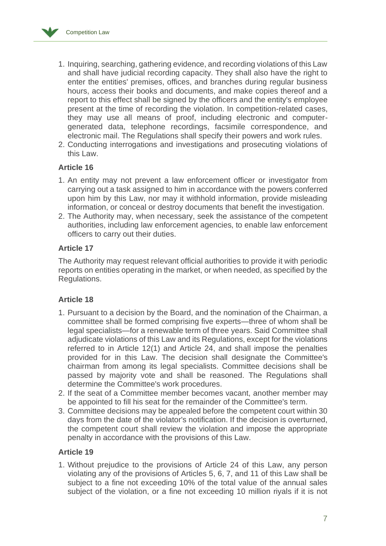

- 1. Inquiring, searching, gathering evidence, and recording violations of this Law and shall have judicial recording capacity. They shall also have the right to enter the entities' premises, offices, and branches during regular business hours, access their books and documents, and make copies thereof and a report to this effect shall be signed by the officers and the entity's employee present at the time of recording the violation. In competition-related cases, they may use all means of proof, including electronic and computergenerated data, telephone recordings, facsimile correspondence, and electronic mail. The Regulations shall specify their powers and work rules.
- 2. Conducting interrogations and investigations and prosecuting violations of this Law.

## **Article 16**

- 1. An entity may not prevent a law enforcement officer or investigator from carrying out a task assigned to him in accordance with the powers conferred upon him by this Law, nor may it withhold information, provide misleading information, or conceal or destroy documents that benefit the investigation.
- 2. The Authority may, when necessary, seek the assistance of the competent authorities, including law enforcement agencies, to enable law enforcement officers to carry out their duties.

## **Article 17**

The Authority may request relevant official authorities to provide it with periodic reports on entities operating in the market, or when needed, as specified by the Regulations.

## **Article 18**

- 1. Pursuant to a decision by the Board, and the nomination of the Chairman, a committee shall be formed comprising five experts—three of whom shall be legal specialists—for a renewable term of three years. Said Committee shall adjudicate violations of this Law and its Regulations, except for the violations referred to in Article 12(1) and Article 24, and shall impose the penalties provided for in this Law. The decision shall designate the Committee's chairman from among its legal specialists. Committee decisions shall be passed by majority vote and shall be reasoned. The Regulations shall determine the Committee's work procedures.
- 2. If the seat of a Committee member becomes vacant, another member may be appointed to fill his seat for the remainder of the Committee's term.
- 3. Committee decisions may be appealed before the competent court within 30 days from the date of the violator's notification. If the decision is overturned, the competent court shall review the violation and impose the appropriate penalty in accordance with the provisions of this Law.

## **Article 19**

1. Without prejudice to the provisions of Article 24 of this Law, any person violating any of the provisions of Articles 5, 6, 7, and 11 of this Law shall be subject to a fine not exceeding 10% of the total value of the annual sales subject of the violation, or a fine not exceeding 10 million riyals if it is not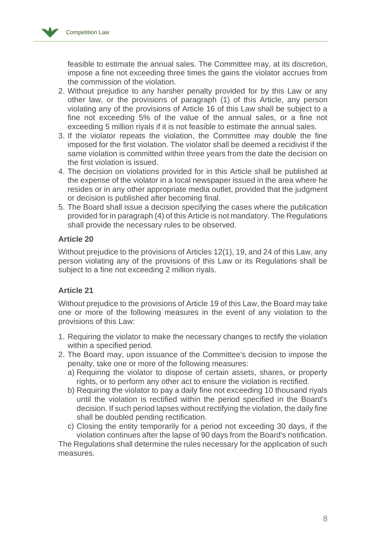

feasible to estimate the annual sales. The Committee may, at its discretion, impose a fine not exceeding three times the gains the violator accrues from the commission of the violation.

- 2. Without prejudice to any harsher penalty provided for by this Law or any other law, or the provisions of paragraph (1) of this Article, any person violating any of the provisions of Article 16 of this Law shall be subject to a fine not exceeding 5% of the value of the annual sales, or a fine not exceeding 5 million riyals if it is not feasible to estimate the annual sales.
- 3. If the violator repeats the violation, the Committee may double the fine imposed for the first violation. The violator shall be deemed a recidivist if the same violation is committed within three years from the date the decision on the first violation is issued.
- 4. The decision on violations provided for in this Article shall be published at the expense of the violator in a local newspaper issued in the area where he resides or in any other appropriate media outlet, provided that the judgment or decision is published after becoming final.
- 5. The Board shall issue a decision specifying the cases where the publication provided for in paragraph (4) of this Article is not mandatory. The Regulations shall provide the necessary rules to be observed.

## **Article 20**

Without prejudice to the provisions of Articles 12(1), 19, and 24 of this Law, any person violating any of the provisions of this Law or its Regulations shall be subject to a fine not exceeding 2 million riyals.

## **Article 21**

Without prejudice to the provisions of Article 19 of this Law, the Board may take one or more of the following measures in the event of any violation to the provisions of this Law:

- 1. Requiring the violator to make the necessary changes to rectify the violation within a specified period.
- 2. The Board may, upon issuance of the Committee's decision to impose the penalty, take one or more of the following measures:
	- a) Requiring the violator to dispose of certain assets, shares, or property rights, or to perform any other act to ensure the violation is rectified.
	- b) Requiring the violator to pay a daily fine not exceeding 10 thousand riyals until the violation is rectified within the period specified in the Board's decision. If such period lapses without rectifying the violation, the daily fine shall be doubled pending rectification.
	- c) Closing the entity temporarily for a period not exceeding 30 days, if the violation continues after the lapse of 90 days from the Board's notification.

The Regulations shall determine the rules necessary for the application of such measures.